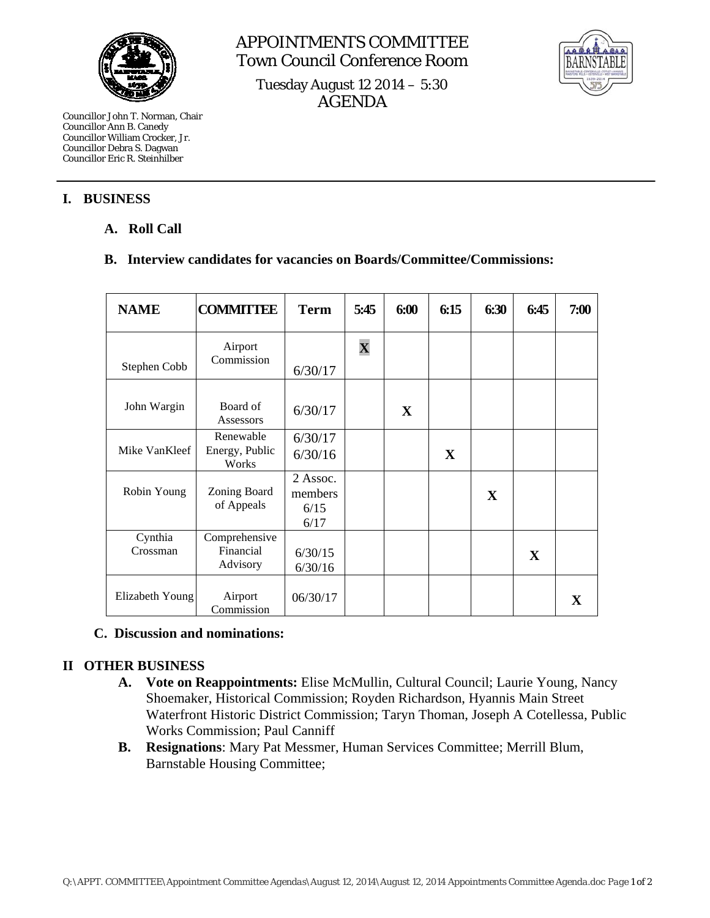

Councillor John T. Norman, Chair Councillor Ann B. Canedy Councillor William Crocker, Jr. Councillor Debra S. Dagwan Councillor Eric R. Steinhilber

#### **I. BUSINESS**

# **A. Roll Call**

### **B. Interview candidates for vacancies on Boards/Committee/Commissions:**

| <b>NAME</b>         | <b>COMMITTEE</b>                       | <b>Term</b>                         | 5:45                    | 6:00         | 6:15        | 6:30 | 6:45 | 7:00 |
|---------------------|----------------------------------------|-------------------------------------|-------------------------|--------------|-------------|------|------|------|
| Stephen Cobb        | Airport<br>Commission                  | 6/30/17                             | $\overline{\mathbf{X}}$ |              |             |      |      |      |
| John Wargin         | Board of<br>Assessors                  | 6/30/17                             |                         | $\mathbf{X}$ |             |      |      |      |
| Mike VanKleef       | Renewable<br>Energy, Public<br>Works   | 6/30/17<br>6/30/16                  |                         |              | $\mathbf X$ |      |      |      |
| Robin Young         | Zoning Board<br>of Appeals             | 2 Assoc.<br>members<br>6/15<br>6/17 |                         |              |             | X    |      |      |
| Cynthia<br>Crossman | Comprehensive<br>Financial<br>Advisory | 6/30/15<br>6/30/16                  |                         |              |             |      | X    |      |
| Elizabeth Young     | Airport<br>Commission                  | 06/30/17                            |                         |              |             |      |      | X    |

#### **C. Discussion and nominations:**

# **II OTHER BUSINESS**

- **A. Vote on Reappointments:** Elise McMullin, Cultural Council; Laurie Young, Nancy Shoemaker, Historical Commission; Royden Richardson, Hyannis Main Street Waterfront Historic District Commission; Taryn Thoman, Joseph A Cotellessa, Public Works Commission; Paul Canniff
- **B. Resignations**: Mary Pat Messmer, Human Services Committee; Merrill Blum, Barnstable Housing Committee;



Tuesday August 12 2014 – 5:30 AGENDA